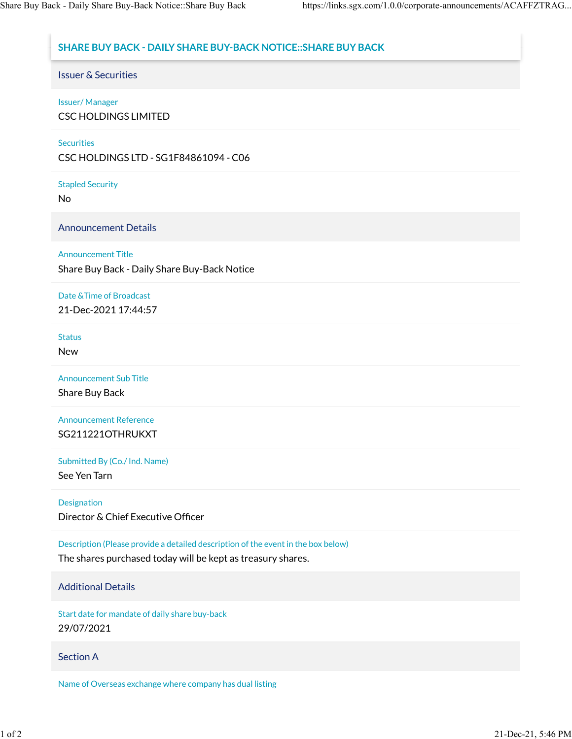# **SHARE BUY BACK - DAILY SHARE BUY-BACK NOTICE::SHARE BUY BACK**

Issuer & Securities

### Issuer/ Manager

CSC HOLDINGS LIMITED

### **Securities**

CSC HOLDINGS LTD - SG1F84861094 - C06

Stapled Security

No

Announcement Details

### Announcement Title

Share Buy Back - Daily Share Buy-Back Notice

# Date &Time of Broadcast

21-Dec-2021 17:44:57

#### **Status**

New

Announcement Sub Title

Share Buy Back

Announcement Reference SG211221OTHRUKXT

Submitted By (Co./ Ind. Name)

See Yen Tarn

Designation

Director & Chief Executive Officer

Description (Please provide a detailed description of the event in the box below)

The shares purchased today will be kept as treasury shares.

# Additional Details

Start date for mandate of daily share buy-back 29/07/2021

# Section A

Name of Overseas exchange where company has dual listing